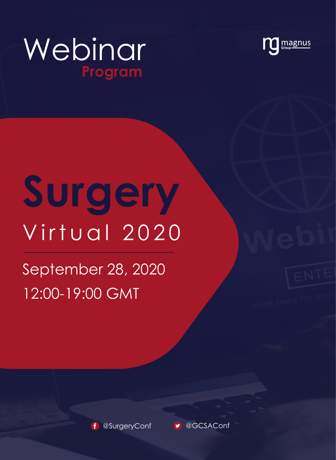



# **Surgery** Virtual 2020

# September 28, 2020 12:00-19:00 GMT



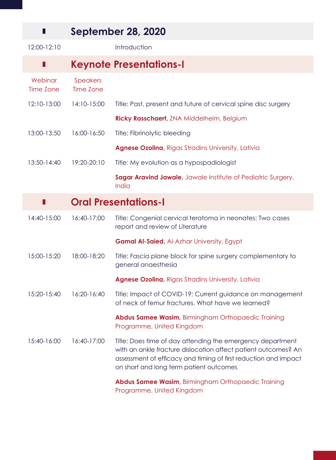#### **September 28, 2020**

П

12:00-12:10 Introduction **Keynote Presentations-I** П **Webinar** Speakers Time Zone Time Zone 12:10-13:00 14:10-15:00 Title: Past, present and future of cervical spine disc surgery **Ricky Rasschaert,** ZNA Middelheim, Belgium 13:00-13:50 16:00-16:50 Title: Fibrinolytic bleeding **Agnese Ozolina,** Rigas Stradins University, Lativia 13:50-14:40 19:20-20:10 Title: My evolution as a hypospadiologist **Sagar Aravind Jawale**, Jawale Institute of Pediatric Surgery, India **Oral Presentations-I** П 14:40-15:00 16:40-17:00 Title: Congenial cervical teratoma in neonates: Two cases report and review of Literature **Gamal Al-Saied,** Al-Azhar University, Egypt 15:00-15:20 18:00-18:20 Title: Fascia plane block for spine surgery complementary to general anaesthesia **Agnese Ozolina,** Rigas Stradins University, Lativia 15:20-15:40 16:20-16:40 Title: Impact of COVID-19: Current guidance on management of neck of femur fractures. What have we learned? **Abdus Samee Wasim,** Birmingham Orthopaedic Training Programme, United Kingdom 15:40-16:00 16:40-17:00 Title: Does time of day attending the emergency department with an ankle fracture dislocation affect patient outcomes? An assessment of efficacy and timing of first reduction and impact on short and long term patient outcomes **Abdus Samee Wasim,** Birmingham Orthopaedic Training Programme, United Kingdom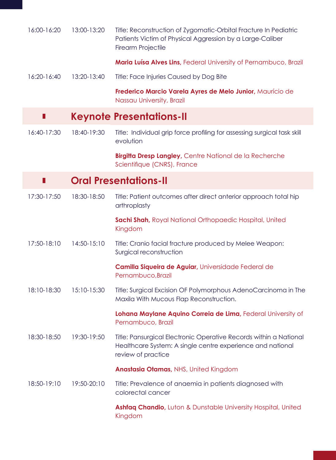| 16:00-16:20 | 13:00-13:20 | Title: Reconstruction of Zygomatic-Orbital Fracture In Pediatric<br>Patients Victim of Physical Aggression by a Large-Caliber<br>Firearm Projectile   |
|-------------|-------------|-------------------------------------------------------------------------------------------------------------------------------------------------------|
|             |             | Maria Luísa Alves Lins, Federal University of Pernambuco, Brazil                                                                                      |
| 16:20-16:40 | 13:20-13:40 | Title: Face Injuries Caused by Dog Bite                                                                                                               |
|             |             | Frederico Marcio Varela Ayres de Melo Junior, Maurício de<br>Nassau University, Brazil                                                                |
| ш           |             | <b>Keynote Presentations-II</b>                                                                                                                       |
| 16:40-17:30 | 18:40-19:30 | Title: Individual grip force profiling for assessing surgical task skill<br>evolution                                                                 |
|             |             | <b>Birgitta Dresp Langley, Centre National de la Recherche</b><br>Scientifique (CNRS), France                                                         |
| Ш           |             | <b>Oral Presentations-II</b>                                                                                                                          |
| 17:30-17:50 | 18:30-18:50 | Title: Patient outcomes after direct anterior approach total hip<br>arthroplasty                                                                      |
|             |             | Sachi Shah, Royal National Orthopaedic Hospital, United<br>Kingdom                                                                                    |
| 17:50-18:10 | 14:50-15:10 | Title: Cranio facial fracture produced by Melee Weapon:<br>Surgical reconstruction                                                                    |
|             |             | Camilla Siqueira de Aguiar, Universidade Federal de<br>Pernambuco, Brazil                                                                             |
| 18:10-18:30 | 15:10-15:30 | Title: Surgical Excision OF Polymorphous AdenoCarcinoma in The<br>Maxila With Mucous Flap Reconstruction.                                             |
|             |             | Lohana Maylane Aquino Correia de Lima, Federal University of<br>Pernambuco, Brazil                                                                    |
| 18:30-18:50 | 19:30-19:50 | Title: Pansurgical Electronic Operative Records within a National<br>Healthcare System: A single centre experience and national<br>review of practice |
|             |             | Anastasia Otamas, NHS, United Kingdom                                                                                                                 |
| 18:50-19:10 | 19:50-20:10 | Title: Prevalence of anaemia in patients diagnosed with<br>colorectal cancer                                                                          |
|             |             | Ashfaq Chandio, Luton & Dunstable University Hospital, United<br>Kingdom                                                                              |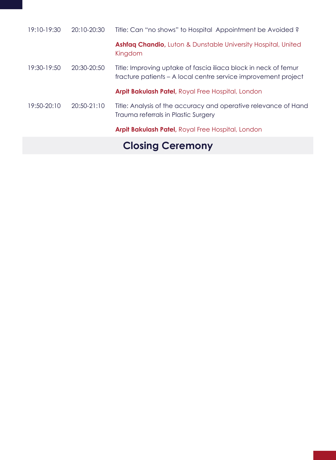| 19:10-19:30 | 20:10-20:30 | Title: Can "no shows" to Hospital Appointment be Avoided?                                                                         |
|-------------|-------------|-----------------------------------------------------------------------------------------------------------------------------------|
|             |             | <b>Ashfaq Chandio, Luton &amp; Dunstable University Hospital, United</b><br>Kingdom                                               |
| 19:30-19:50 | 20:30-20:50 | Title: Improving uptake of fascia iliaca block in neck of femur<br>fracture patients - A local centre service improvement project |
|             |             | <b>Arpit Bakulash Patel, Royal Free Hospital, London</b>                                                                          |
| 19:50-20:10 | 20:50-21:10 | Title: Analysis of the accuracy and operative relevance of Hand<br>Trauma referrals in Plastic Surgery                            |
|             |             | Arpit Bakulash Patel, Royal Free Hospital, London                                                                                 |
|             |             | $\mathbf{A}$ . $\mathbf{A}$ . $\mathbf{A}$                                                                                        |

# **Closing Ceremony**